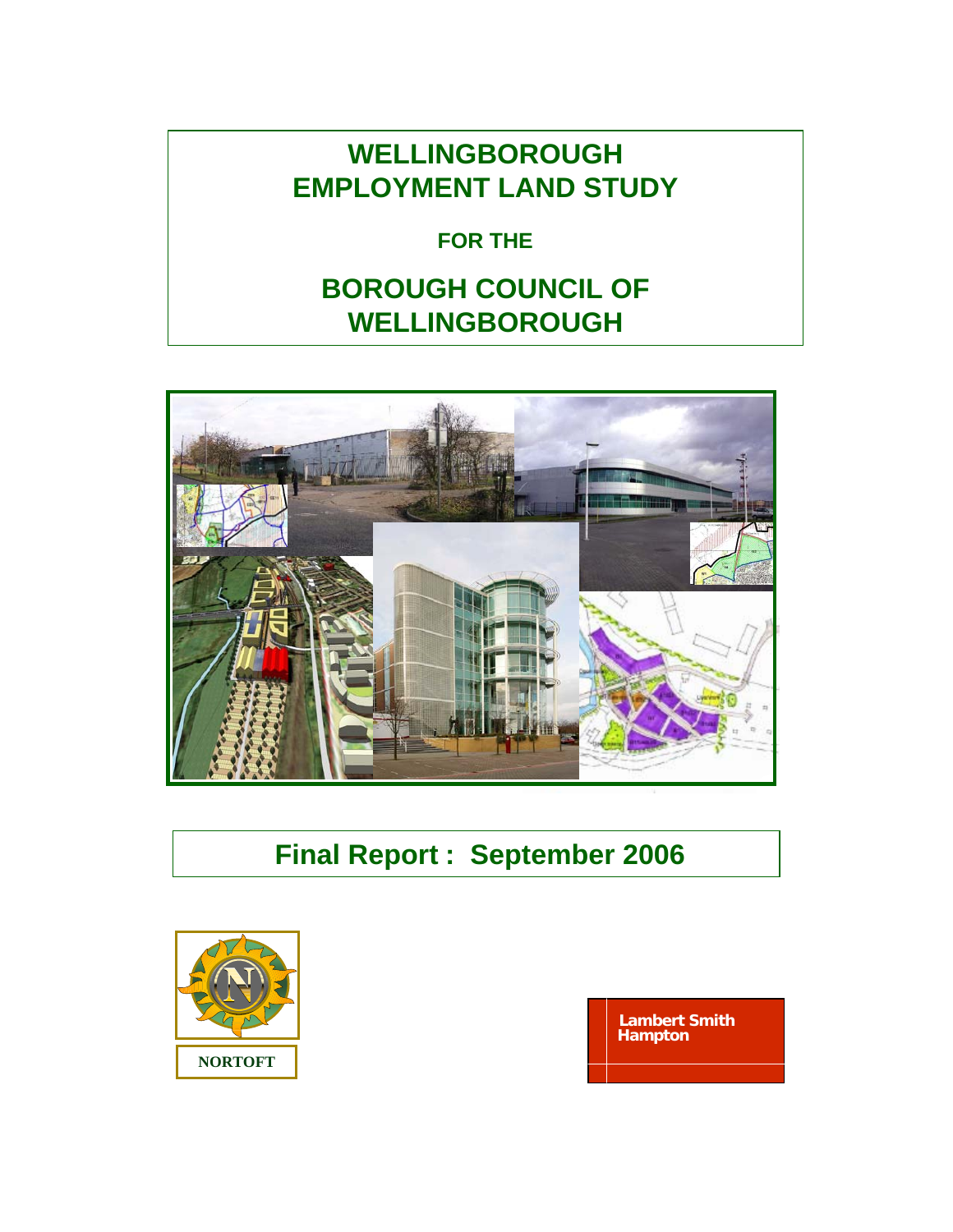# **WELLINGBOROUGH EMPLOYMENT LAND STUDY**

## **FOR THE**

# **BOROUGH COUNCIL OF WELLINGBOROUGH**



# **Final Report : September 2006**



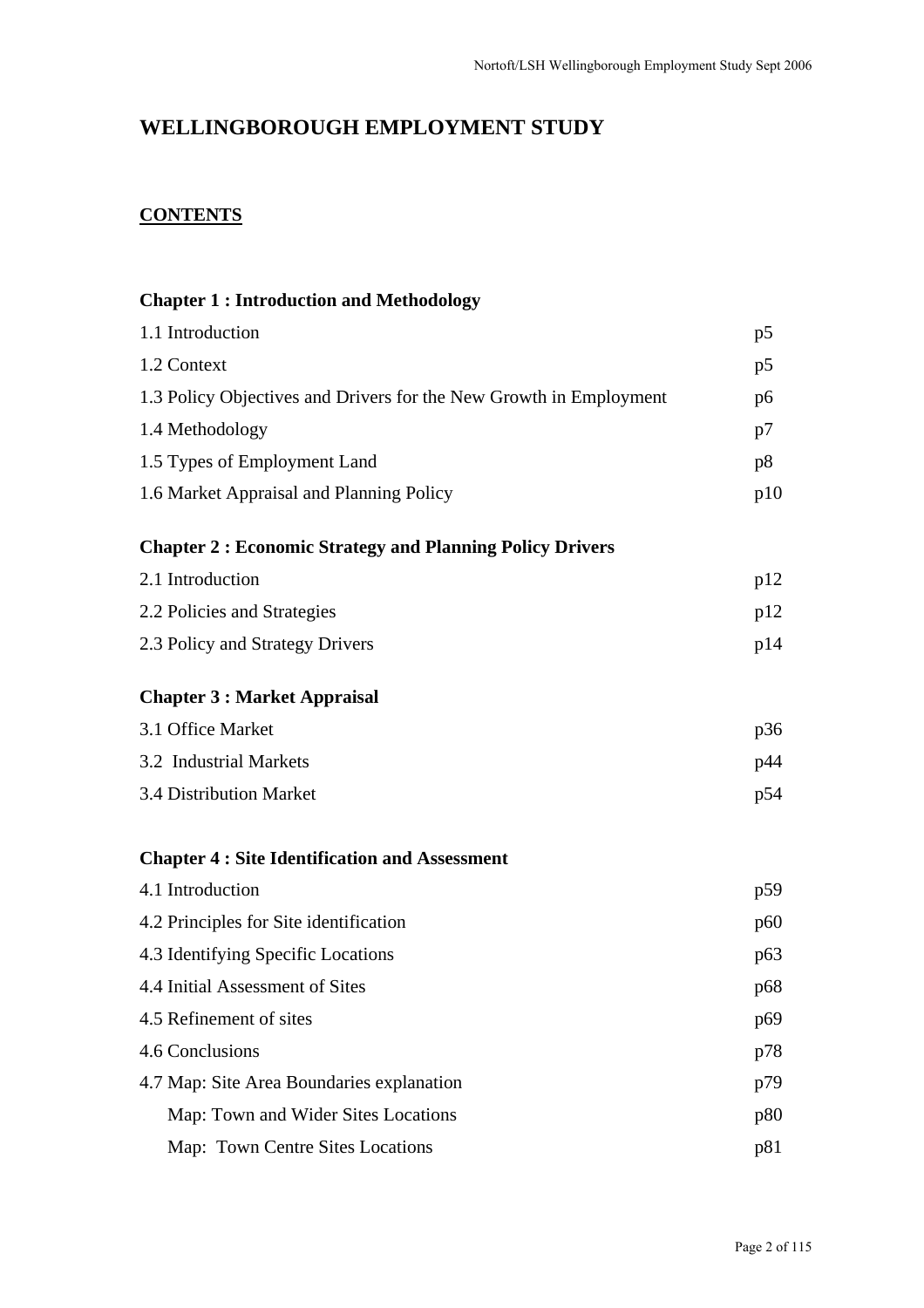### **WELLINGBOROUGH EMPLOYMENT STUDY**

## **CONTENTS**

| <b>Chapter 1: Introduction and Methodology</b>                     |                |  |  |
|--------------------------------------------------------------------|----------------|--|--|
| 1.1 Introduction                                                   | p <sub>5</sub> |  |  |
| 1.2 Context                                                        |                |  |  |
| 1.3 Policy Objectives and Drivers for the New Growth in Employment |                |  |  |
| 1.4 Methodology                                                    | p7             |  |  |
| 1.5 Types of Employment Land                                       |                |  |  |
| 1.6 Market Appraisal and Planning Policy                           | p10            |  |  |
| <b>Chapter 2: Economic Strategy and Planning Policy Drivers</b>    |                |  |  |
| 2.1 Introduction                                                   | p12            |  |  |
| 2.2 Policies and Strategies                                        | p12            |  |  |
| 2.3 Policy and Strategy Drivers                                    | p14            |  |  |
| <b>Chapter 3 : Market Appraisal</b>                                |                |  |  |
| 3.1 Office Market                                                  | p36            |  |  |
| 3.2 Industrial Markets                                             | p44            |  |  |
| 3.4 Distribution Market                                            | p54            |  |  |
| <b>Chapter 4: Site Identification and Assessment</b>               |                |  |  |
| 4.1 Introduction                                                   | p59            |  |  |
| 4.2 Principles for Site identification                             | p60            |  |  |
| 4.3 Identifying Specific Locations                                 | p63            |  |  |
| 4.4 Initial Assessment of Sites                                    | p68            |  |  |
| 4.5 Refinement of sites                                            | p69            |  |  |
| 4.6 Conclusions                                                    | p78            |  |  |
| 4.7 Map: Site Area Boundaries explanation                          | p79            |  |  |
| Map: Town and Wider Sites Locations                                | p80            |  |  |
| Map: Town Centre Sites Locations                                   | p81            |  |  |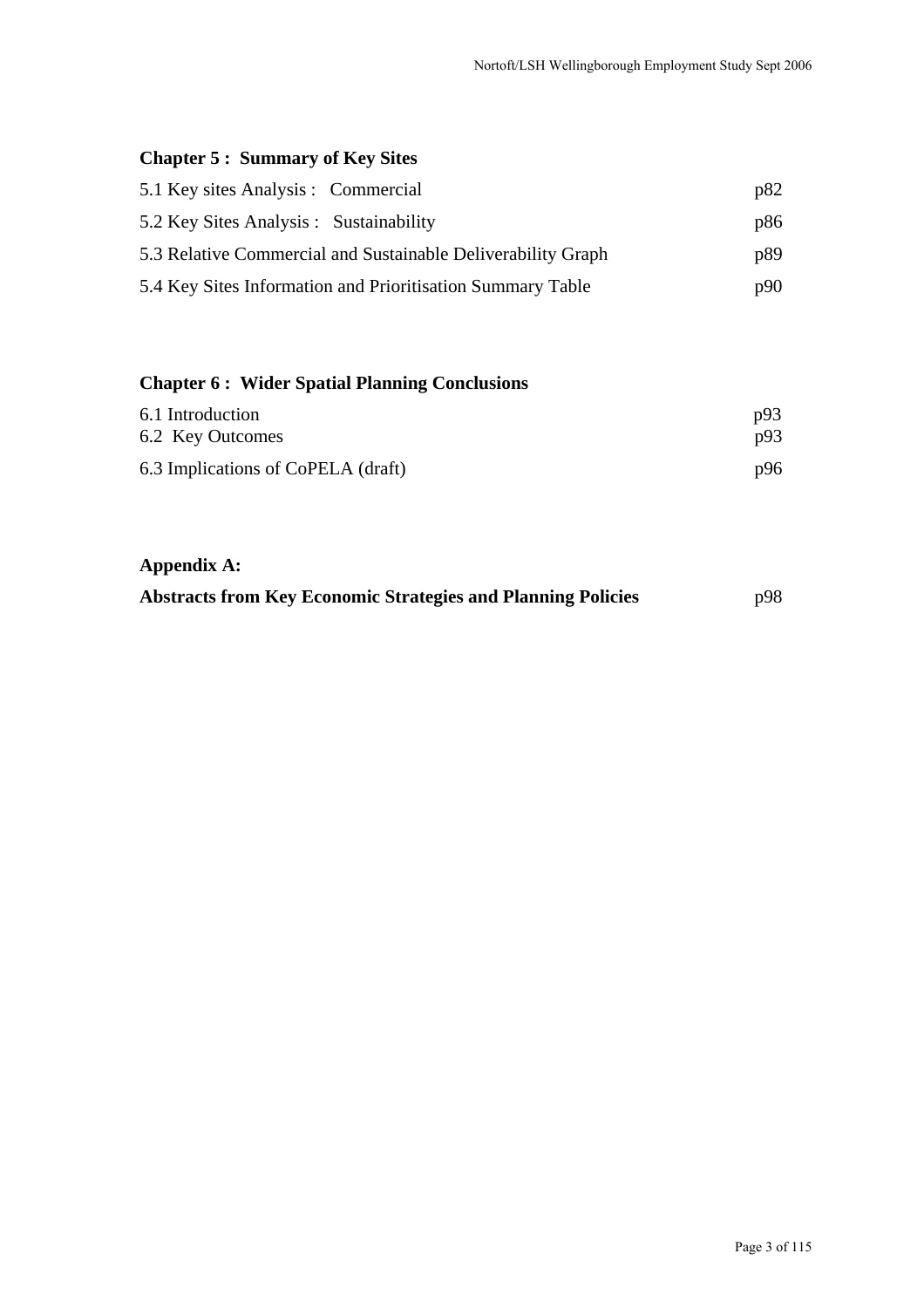### **Chapter 5 : Summary of Key Sites**

| 5.1 Key sites Analysis : Commercial                          | p82 |
|--------------------------------------------------------------|-----|
| 5.2 Key Sites Analysis : Sustainability                      | p86 |
| 5.3 Relative Commercial and Sustainable Deliverability Graph | p89 |
| 5.4 Key Sites Information and Prioritisation Summary Table   | p90 |

### **Chapter 6 : Wider Spatial Planning Conclusions**

| 6.1 Introduction                   | p93 |
|------------------------------------|-----|
| 6.2 Key Outcomes                   | p93 |
| 6.3 Implications of CoPELA (draft) | p96 |

### **Appendix A:**

|  | <b>Abstracts from Key Economic Strategies and Planning Policies</b> | p98 |
|--|---------------------------------------------------------------------|-----|
|  |                                                                     |     |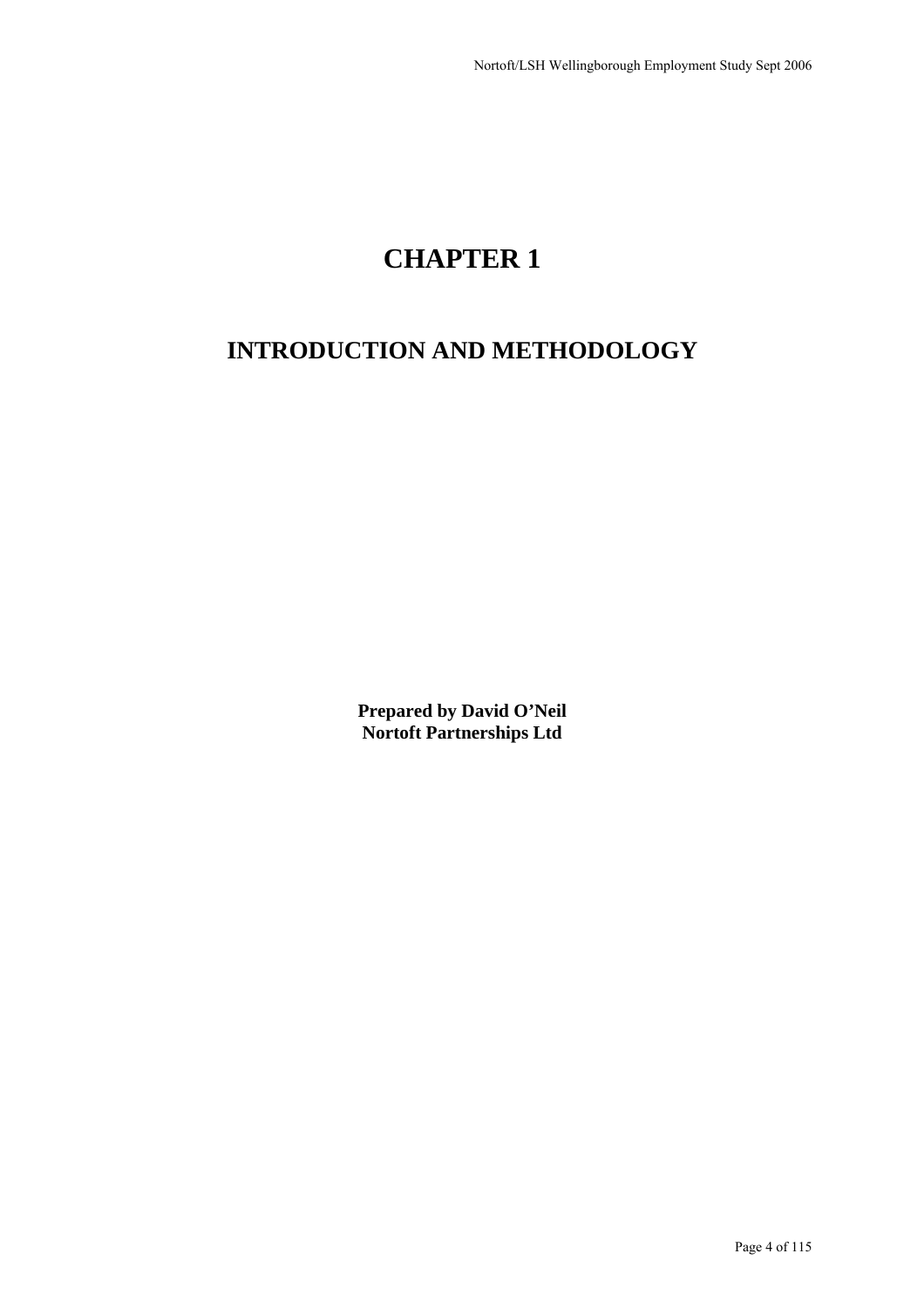# **CHAPTER 1**

## **INTRODUCTION AND METHODOLOGY**

**Prepared by David O'Neil Nortoft Partnerships Ltd**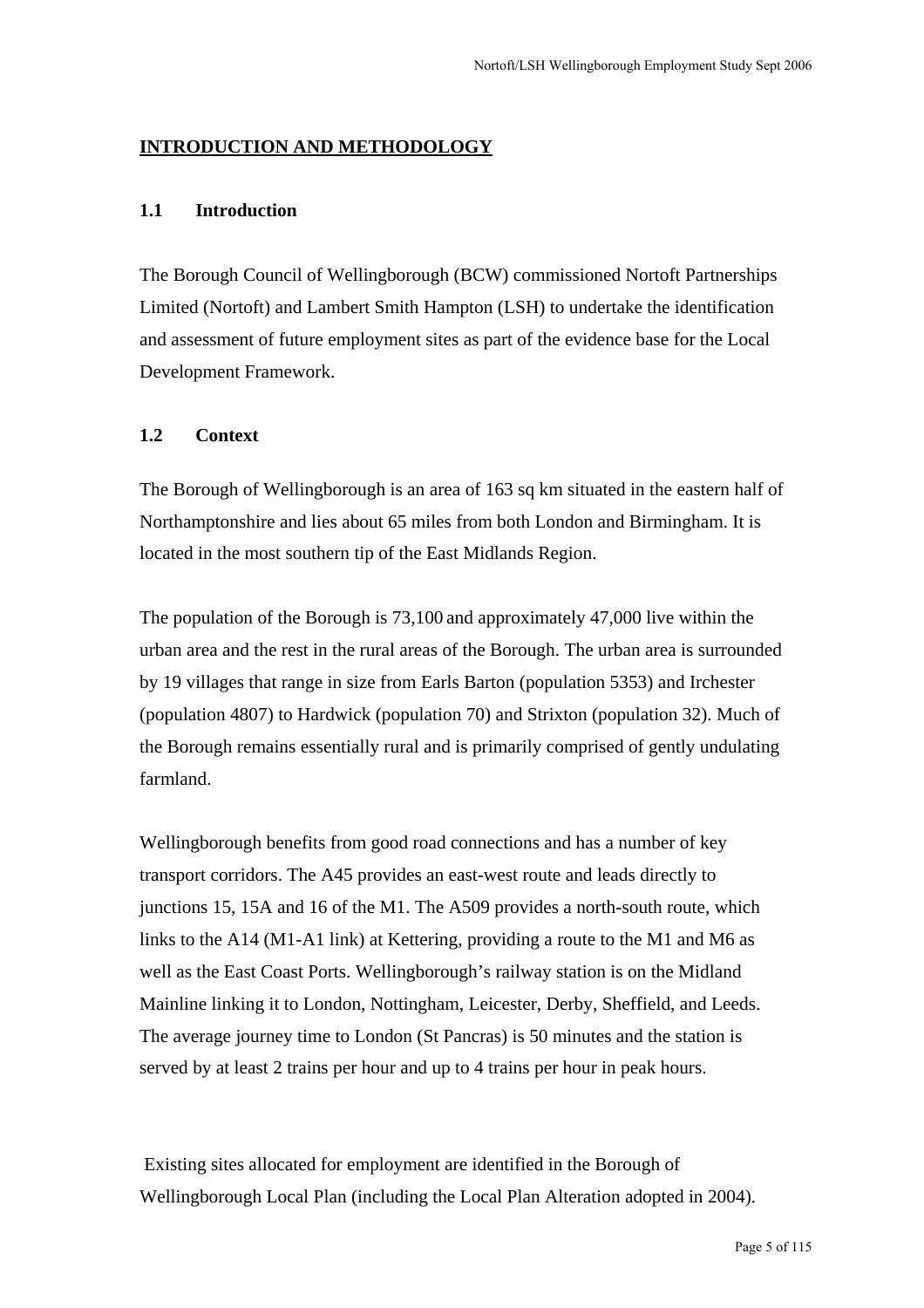### **INTRODUCTION AND METHODOLOGY**

#### **1.1 Introduction**

The Borough Council of Wellingborough (BCW) commissioned Nortoft Partnerships Limited (Nortoft) and Lambert Smith Hampton (LSH) to undertake the identification and assessment of future employment sites as part of the evidence base for the Local Development Framework.

#### **1.2 Context**

The Borough of Wellingborough is an area of 163 sq km situated in the eastern half of Northamptonshire and lies about 65 miles from both London and Birmingham. It is located in the most southern tip of the East Midlands Region.

The population of the Borough is 73,100 and approximately 47,000 live within the urban area and the rest in the rural areas of the Borough. The urban area is surrounded by 19 villages that range in size from Earls Barton (population 5353) and Irchester (population 4807) to Hardwick (population 70) and Strixton (population 32). Much of the Borough remains essentially rural and is primarily comprised of gently undulating farmland.

Wellingborough benefits from good road connections and has a number of key transport corridors. The A45 provides an east-west route and leads directly to junctions 15, 15A and 16 of the M1. The A509 provides a north-south route, which links to the A14 (M1-A1 link) at Kettering, providing a route to the M1 and M6 as well as the East Coast Ports. Wellingborough's railway station is on the Midland Mainline linking it to London, Nottingham, Leicester, Derby, Sheffield, and Leeds. The average journey time to London (St Pancras) is 50 minutes and the station is served by at least 2 trains per hour and up to 4 trains per hour in peak hours.

 Existing sites allocated for employment are identified in the Borough of Wellingborough Local Plan (including the Local Plan Alteration adopted in 2004).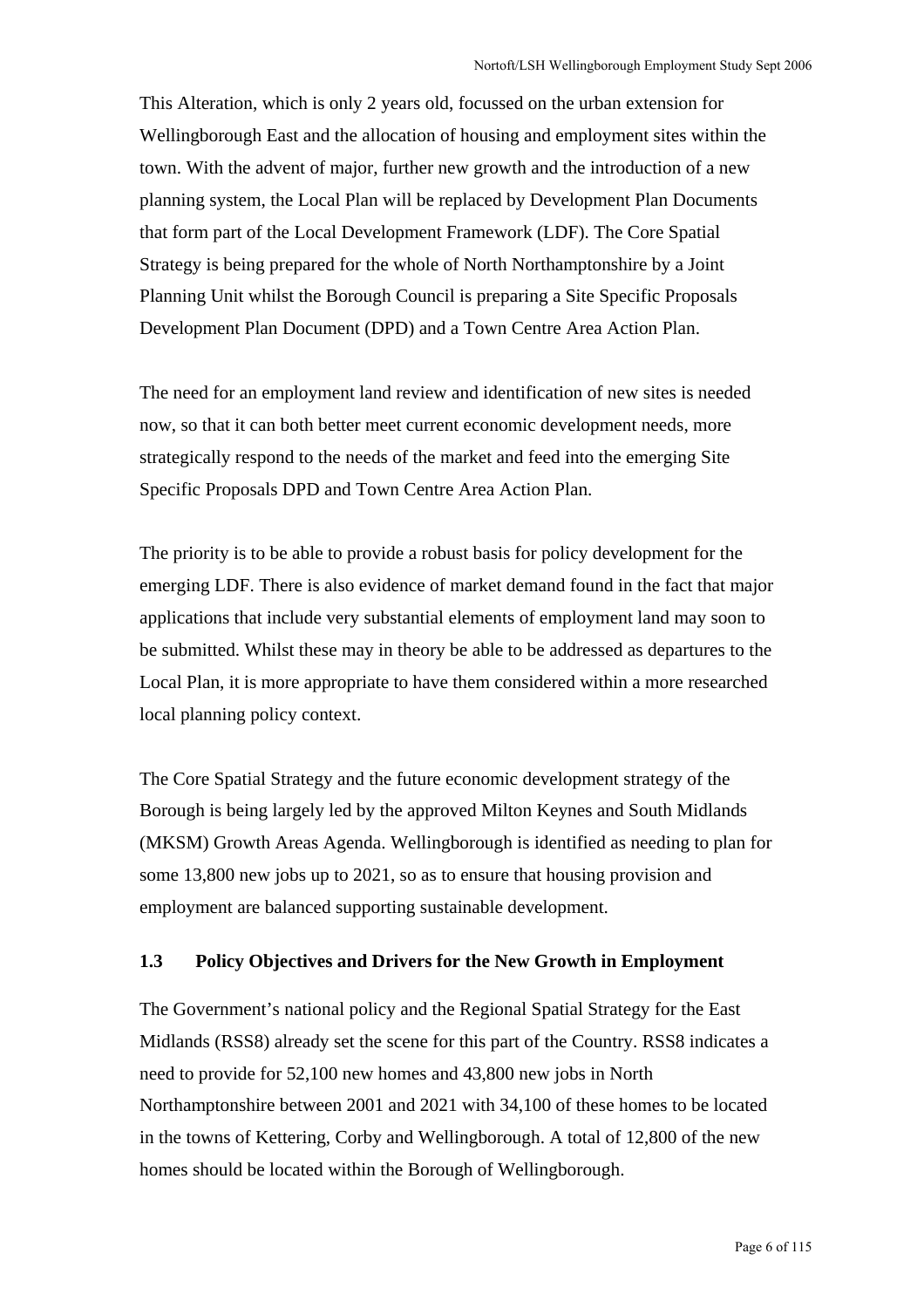This Alteration, which is only 2 years old, focussed on the urban extension for Wellingborough East and the allocation of housing and employment sites within the town. With the advent of major, further new growth and the introduction of a new planning system, the Local Plan will be replaced by Development Plan Documents that form part of the Local Development Framework (LDF). The Core Spatial Strategy is being prepared for the whole of North Northamptonshire by a Joint Planning Unit whilst the Borough Council is preparing a Site Specific Proposals Development Plan Document (DPD) and a Town Centre Area Action Plan.

The need for an employment land review and identification of new sites is needed now, so that it can both better meet current economic development needs, more strategically respond to the needs of the market and feed into the emerging Site Specific Proposals DPD and Town Centre Area Action Plan.

The priority is to be able to provide a robust basis for policy development for the emerging LDF. There is also evidence of market demand found in the fact that major applications that include very substantial elements of employment land may soon to be submitted. Whilst these may in theory be able to be addressed as departures to the Local Plan, it is more appropriate to have them considered within a more researched local planning policy context.

The Core Spatial Strategy and the future economic development strategy of the Borough is being largely led by the approved Milton Keynes and South Midlands (MKSM) Growth Areas Agenda. Wellingborough is identified as needing to plan for some 13,800 new jobs up to 2021, so as to ensure that housing provision and employment are balanced supporting sustainable development.

### **1.3 Policy Objectives and Drivers for the New Growth in Employment**

The Government's national policy and the Regional Spatial Strategy for the East Midlands (RSS8) already set the scene for this part of the Country. RSS8 indicates a need to provide for 52,100 new homes and 43,800 new jobs in North Northamptonshire between 2001 and 2021 with 34,100 of these homes to be located in the towns of Kettering, Corby and Wellingborough. A total of 12,800 of the new homes should be located within the Borough of Wellingborough.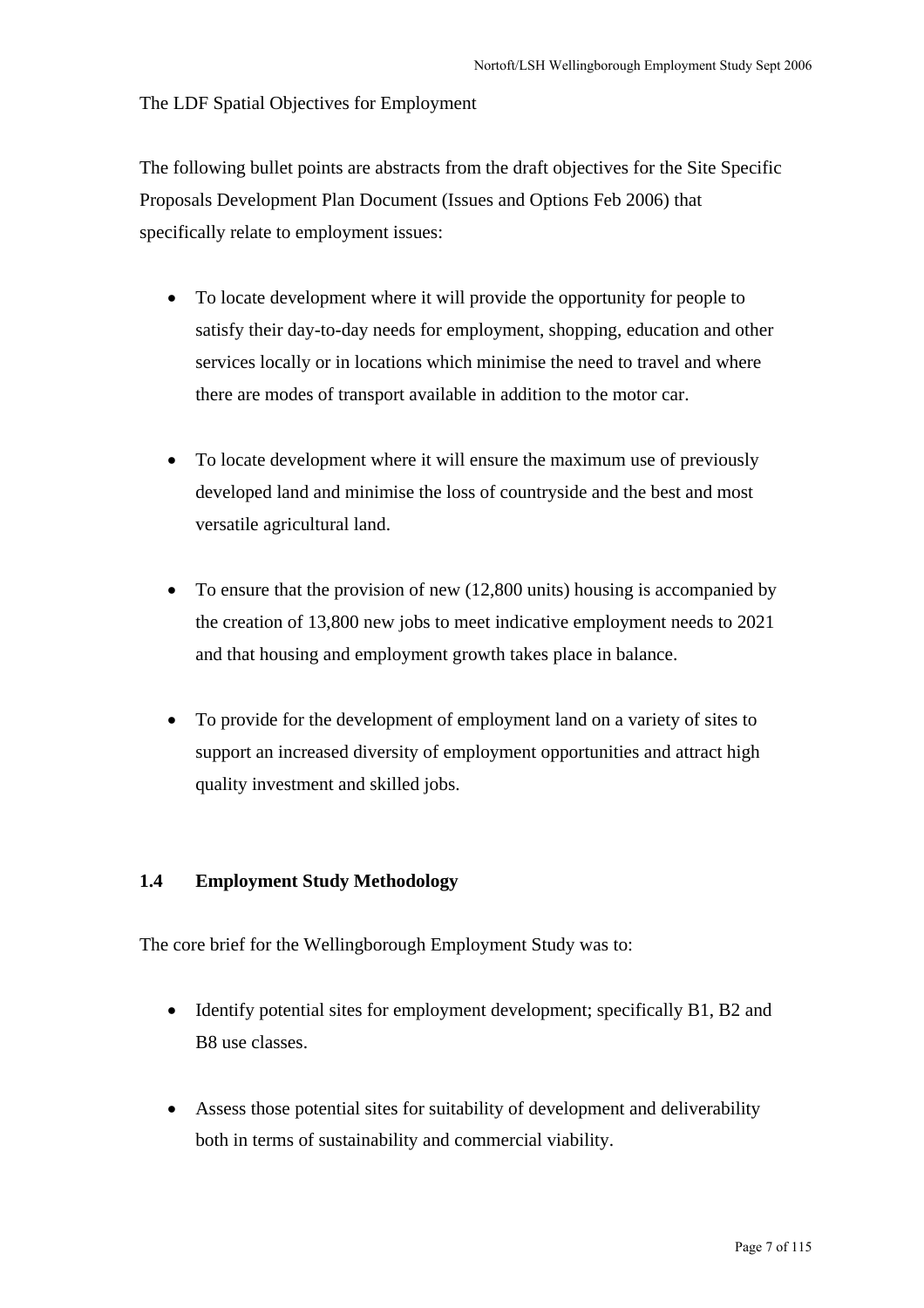The LDF Spatial Objectives for Employment

The following bullet points are abstracts from the draft objectives for the Site Specific Proposals Development Plan Document (Issues and Options Feb 2006) that specifically relate to employment issues:

- To locate development where it will provide the opportunity for people to satisfy their day-to-day needs for employment, shopping, education and other services locally or in locations which minimise the need to travel and where there are modes of transport available in addition to the motor car.
- To locate development where it will ensure the maximum use of previously developed land and minimise the loss of countryside and the best and most versatile agricultural land.
- To ensure that the provision of new (12,800 units) housing is accompanied by the creation of 13,800 new jobs to meet indicative employment needs to 2021 and that housing and employment growth takes place in balance.
- To provide for the development of employment land on a variety of sites to support an increased diversity of employment opportunities and attract high quality investment and skilled jobs.

#### **1.4 Employment Study Methodology**

The core brief for the Wellingborough Employment Study was to:

- Identify potential sites for employment development; specifically B1, B2 and B8 use classes.
- Assess those potential sites for suitability of development and deliverability both in terms of sustainability and commercial viability.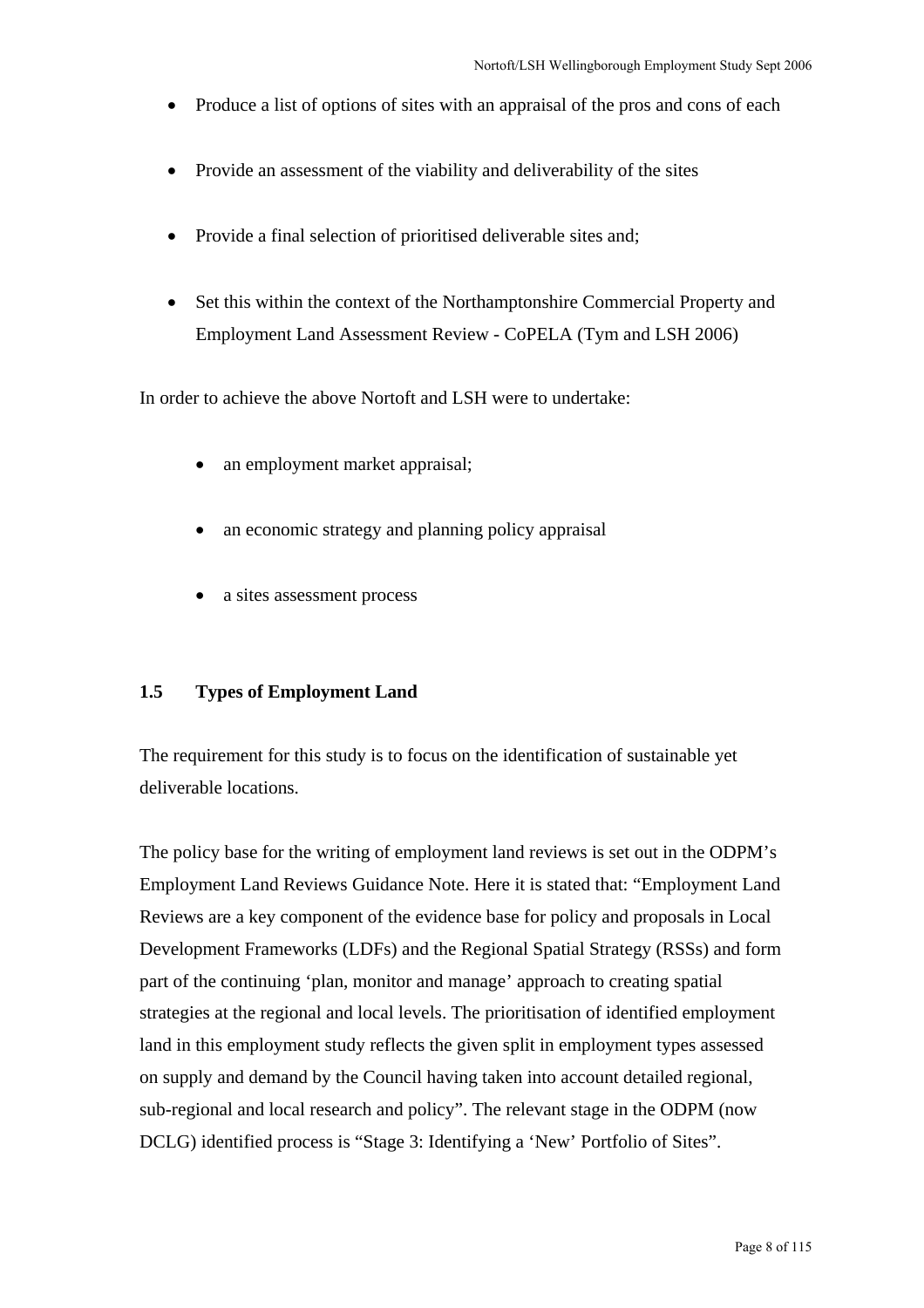- Produce a list of options of sites with an appraisal of the pros and cons of each
- Provide an assessment of the viability and deliverability of the sites
- Provide a final selection of prioritised deliverable sites and;
- Set this within the context of the Northamptonshire Commercial Property and Employment Land Assessment Review - CoPELA (Tym and LSH 2006)

In order to achieve the above Nortoft and LSH were to undertake:

- an employment market appraisal;
- an economic strategy and planning policy appraisal
- a sites assessment process

#### **1.5 Types of Employment Land**

The requirement for this study is to focus on the identification of sustainable yet deliverable locations.

The policy base for the writing of employment land reviews is set out in the ODPM's Employment Land Reviews Guidance Note. Here it is stated that: "Employment Land Reviews are a key component of the evidence base for policy and proposals in Local Development Frameworks (LDFs) and the Regional Spatial Strategy (RSSs) and form part of the continuing 'plan, monitor and manage' approach to creating spatial strategies at the regional and local levels. The prioritisation of identified employment land in this employment study reflects the given split in employment types assessed on supply and demand by the Council having taken into account detailed regional, sub-regional and local research and policy". The relevant stage in the ODPM (now DCLG) identified process is "Stage 3: Identifying a 'New' Portfolio of Sites".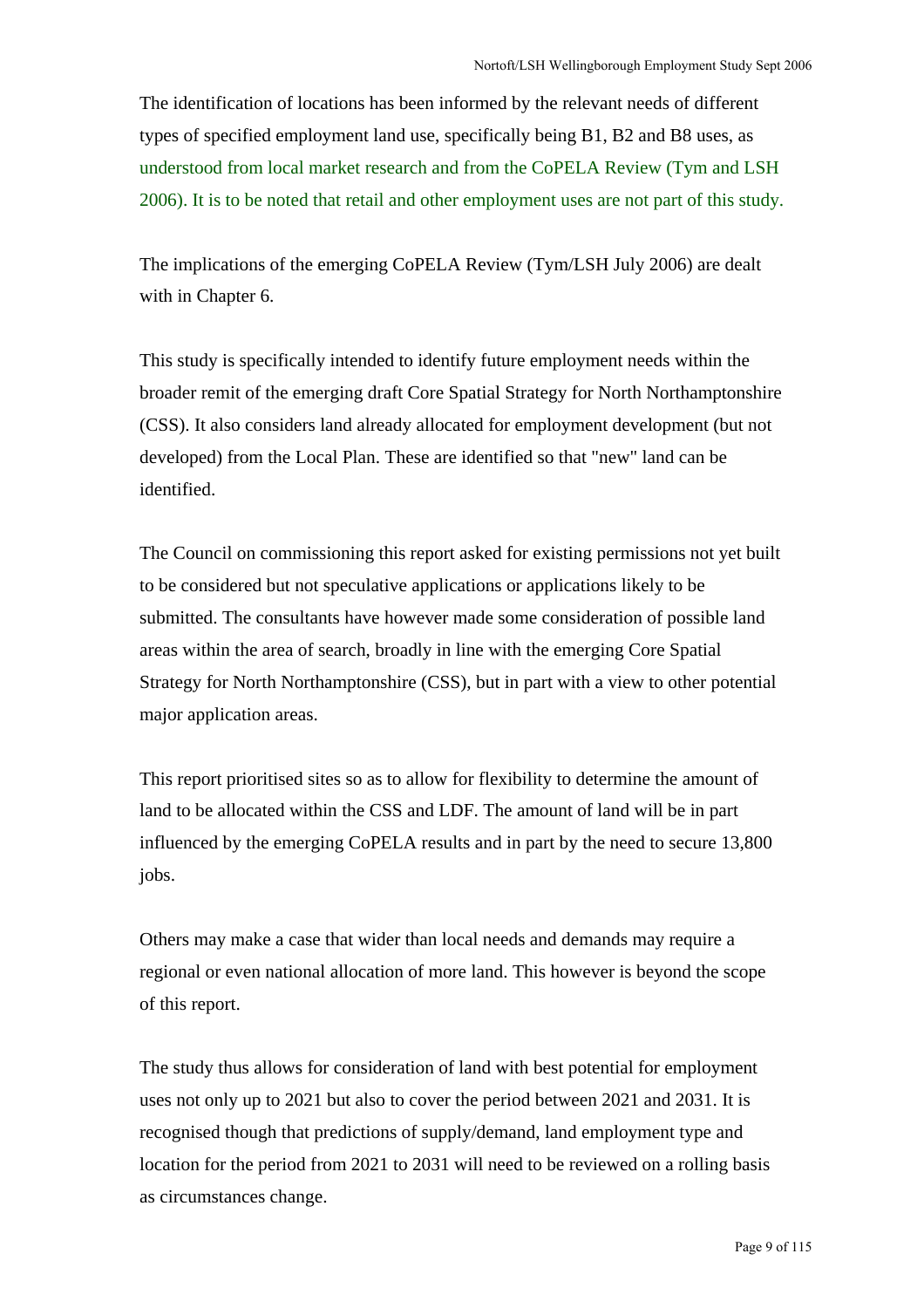The identification of locations has been informed by the relevant needs of different types of specified employment land use, specifically being B1, B2 and B8 uses, as understood from local market research and from the CoPELA Review (Tym and LSH 2006). It is to be noted that retail and other employment uses are not part of this study.

The implications of the emerging CoPELA Review (Tym/LSH July 2006) are dealt with in Chapter 6.

This study is specifically intended to identify future employment needs within the broader remit of the emerging draft Core Spatial Strategy for North Northamptonshire (CSS). It also considers land already allocated for employment development (but not developed) from the Local Plan. These are identified so that "new" land can be identified.

The Council on commissioning this report asked for existing permissions not yet built to be considered but not speculative applications or applications likely to be submitted. The consultants have however made some consideration of possible land areas within the area of search, broadly in line with the emerging Core Spatial Strategy for North Northamptonshire (CSS), but in part with a view to other potential major application areas.

This report prioritised sites so as to allow for flexibility to determine the amount of land to be allocated within the CSS and LDF. The amount of land will be in part influenced by the emerging CoPELA results and in part by the need to secure 13,800 jobs.

Others may make a case that wider than local needs and demands may require a regional or even national allocation of more land. This however is beyond the scope of this report.

The study thus allows for consideration of land with best potential for employment uses not only up to 2021 but also to cover the period between 2021 and 2031. It is recognised though that predictions of supply/demand, land employment type and location for the period from 2021 to 2031 will need to be reviewed on a rolling basis as circumstances change.